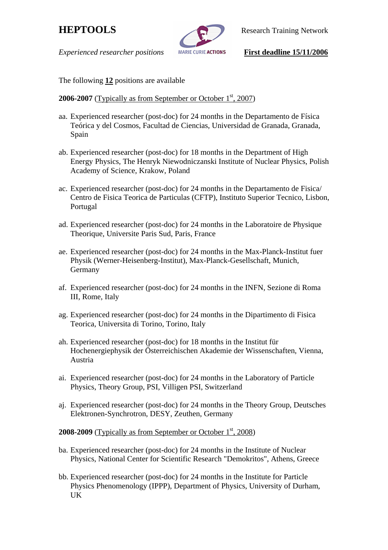

**HEPTOOLS** Research Training Network

*Experienced researcher positions* **MARIE CURIE ACTIONS First deadline 15/11/2006** 

The following **12** positions are available

# **2006-2007** (Typically as from September or October 1<sup>st</sup>, 2007)

- aa. Experienced researcher (post-doc) for 24 months in the Departamento de Física Teórica y del Cosmos, Facultad de Ciencias, Universidad de Granada, Granada, Spain
- ab. Experienced researcher (post-doc) for 18 months in the Department of High Energy Physics, The Henryk Niewodniczanski Institute of Nuclear Physics, Polish Academy of Science, Krakow, Poland
- ac. Experienced researcher (post-doc) for 24 months in the Departamento de Fisica/ Centro de Fisica Teorica de Particulas (CFTP), Instituto Superior Tecnico, Lisbon, Portugal
- ad. Experienced researcher (post-doc) for 24 months in the Laboratoire de Physique Theorique, Universite Paris Sud, Paris, France
- ae. Experienced researcher (post-doc) for 24 months in the Max-Planck-Institut fuer Physik (Werner-Heisenberg-Institut), Max-Planck-Gesellschaft, Munich, Germany
- af. Experienced researcher (post-doc) for 24 months in the INFN, Sezione di Roma III, Rome, Italy
- ag. Experienced researcher (post-doc) for 24 months in the Dipartimento di Fisica Teorica, Universita di Torino, Torino, Italy
- ah. Experienced researcher (post-doc) for 18 months in the Institut für Hochenergiephysik der Österreichischen Akademie der Wissenschaften, Vienna, Austria
- ai. Experienced researcher (post-doc) for 24 months in the Laboratory of Particle Physics, Theory Group, PSI, Villigen PSI, Switzerland
- aj. Experienced researcher (post-doc) for 24 months in the Theory Group, Deutsches Elektronen-Synchrotron, DESY, Zeuthen, Germany

## **2008-2009** (Typically as from September or October 1st, 2008)

- ba. Experienced researcher (post-doc) for 24 months in the Institute of Nuclear Physics, National Center for Scientific Research "Demokritos", Athens, Greece
- bb. Experienced researcher (post-doc) for 24 months in the Institute for Particle Physics Phenomenology (IPPP), Department of Physics, University of Durham, UK